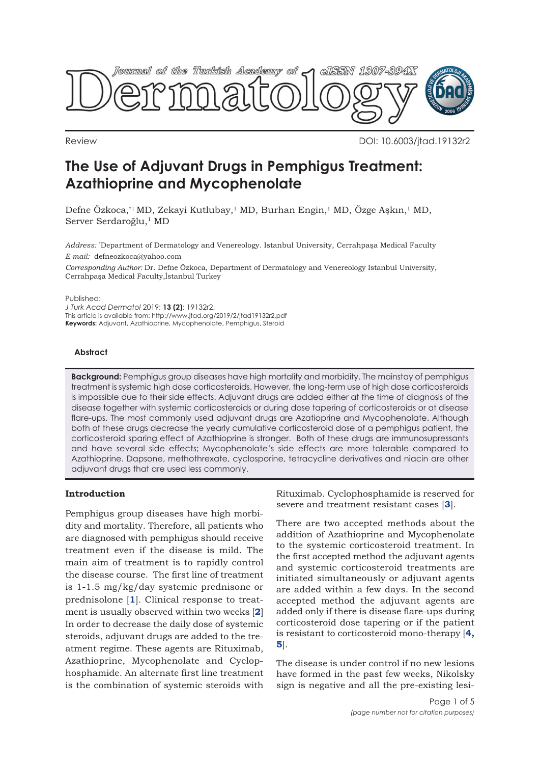

Review DOI: 10.6003/jtad.19132r2

# **The Use of Adjuvant Drugs in Pemphigus Treatment: Azathioprine and Mycophenolate**

Defne Özkoca,<sup>\*1</sup> MD, Zekayi Kutlubay,<sup>1</sup> MD, Burhan Engin,<sup>1</sup> MD, Özge Aşkın,<sup>1</sup> MD, Server Serdaroğlu,<sup>1</sup> MD

*Address:* \* Department of Dermatology and Venereology. Istanbul University, Cerrahpaşa Medical Faculty *E-mail:* defneozkoca@yahoo.com

*Corresponding Author:* Dr. Defne Özkoca, Department of Dermatology and Venereology Istanbul University, Cerrahpaşa Medical Faculty,İstanbul Turkey

#### Published:

*J Turk Acad Dermatol* 2019; **13 (2)**: 19132r2. This article is available from: http://www.jtad.org/2019/2/jtad19132r2.pdf **Keywords:** Adjuvant, Azathioprine, Mycophenolate, Pemphigus, Steroid

## **Abstract**

**Background:** Pemphigus group diseases have high mortality and morbidity. The mainstay of pemphigus treatment is systemic high dose corticosteroids. However, the long-term use of high dose corticosteroids is impossible due to their side effects. Adjuvant drugs are added either at the time of diagnosis of the disease together with systemic corticosteroids or during dose tapering of corticosteroids or at disease flare-ups. The most commonly used adjuvant drugs are Azatioprine and Mycophenolate. Although both of these drugs decrease the yearly cumulative corticosteroid dose of a pemphigus patient, the corticosteroid sparing effect of Azathioprine is stronger. Both of these drugs are immunosupressants and have several side effects; Mycophenolate's side effects are more tolerable compared to Azathioprine. Dapsone, methothrexate, cyclosporine, tetracycline derivatives and niacin are other adjuvant drugs that are used less commonly.

#### **Introduction**

Pemphigus group diseases have high morbidity and mortality. Therefore, all patients who are diagnosed with pemphigus should receive treatment even if the disease is mild. The main aim of treatment is to rapidly control the disease course. The first line of treatment is 1-1.5 mg/kg/day systemic prednisone or prednisolone [**[1](#page-3-0)**]. Clinical response to treatment is usually observed within two weeks [**[2](#page-3-0)**] In order to decrease the daily dose of systemic steroids, adjuvant drugs are added to the treatment regime. These agents are Rituximab, Azathioprine, Mycophenolate and Cyclophosphamide. An alternate first line treatment is the combination of systemic steroids with

Rituximab. Cyclophosphamide is reserved for severe and treatment resistant cases [**[3](#page-4-0)**].

There are two accepted methods about the addition of Azathioprine and Mycophenolate to the systemic corticosteroid treatment. In the first accepted method the adjuvant agents and systemic corticosteroid treatments are initiated simultaneously or adjuvant agents are added within a few days. In the second accepted method the adjuvant agents are added only if there is disease flare-ups during corticosteroid dose tapering or if the patient [is resistant to corticosteroid mono-therapy \[](#page-4-0)**4, 5**].

The disease is under control if no new lesions have formed in the past few weeks, Nikolsky sign is negative and all the pre-existing lesi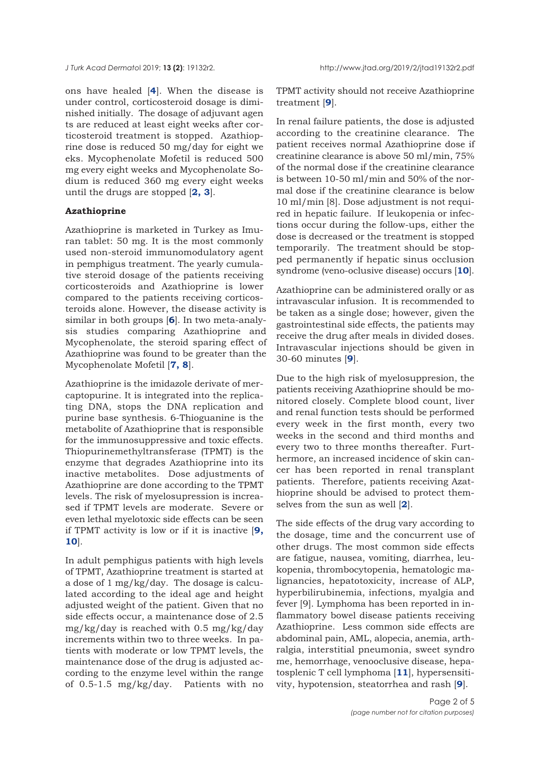ons have healed [**[4](#page-4-0)**]. When the disease is under control, corticosteroid dosage is diminished initially. The dosage of adjuvant agen ts are reduced at least eight weeks after corticosteroid treatment is stopped. Azathioprine dose is reduced 50 mg/day for eight we eks. Mycophenolate Mofetil is reduced 500 mg every eight weeks and Mycophenolate Sodium is reduced 360 mg every eight weeks until the drugs are stopped [**[2, 3](#page-3-0)**].

#### **Azathioprine**

Azathioprine is marketed in Turkey as Imuran tablet: 50 mg. It is the most commonly used non-steroid immunomodulatory agent in pemphigus treatment. The yearly cumulative steroid dosage of the patients receiving corticosteroids and Azathioprine is lower compared to the patients receiving corticosteroids alone. However, the disease activity is similar in both groups [**[6](#page-4-0)**]. In two meta-analysis studies comparing Azathioprine and Mycophenolate, the steroid sparing effect of Azathioprine was found to be greater than the Mycophenolate Mofetil [**[7, 8](#page-4-0)**].

Azathioprine is the imidazole derivate of mercaptopurine. It is integrated into the replicating DNA, stops the DNA replication and purine base synthesis. 6-Thioguanine is the metabolite of Azathioprine that is responsible for the immunosuppressive and toxic effects. Thiopurinemethyltransferase (TPMT) is the enzyme that degrades Azathioprine into its inactive metabolites. Dose adjustments of Azathioprine are done according to the TPMT levels. The risk of myelosupression is increased if TPMT levels are moderate. Severe or even lethal myelotoxic side effects can be seen [if TPMT activity is low or if it is inactive \[](#page-4-0)**9, 10**].

In adult pemphigus patients with high levels of TPMT, Azathioprine treatment is started at a dose of 1 mg/kg/day. The dosage is calculated according to the ideal age and height adjusted weight of the patient. Given that no side effects occur, a maintenance dose of 2.5 mg/kg/day is reached with 0.5 mg/kg/day increments within two to three weeks. In patients with moderate or low TPMT levels, the maintenance dose of the drug is adjusted according to the enzyme level within the range of 0.5-1.5 mg/kg/day. Patients with no

TPMT activity should not receive Azathioprine treatment [**[9](#page-4-0)**].

In renal failure patients, the dose is adjusted according to the creatinine clearance. The patient receives normal Azathioprine dose if creatinine clearance is above 50 ml/min, 75% of the normal dose if the creatinine clearance is between 10-50 ml/min and 50% of the normal dose if the creatinine clearance is below 10 ml/min [8]. Dose adjustment is not required in hepatic failure. If leukopenia or infections occur during the follow-ups, either the dose is decreased or the treatment is stopped temporarily. The treatment should be stopped permanently if hepatic sinus occlusion syndrome (veno-oclusive disease) occurs [**10**].

Azathioprine can be administered orally or as intravascular infusion. It is recommended to be taken as a single dose; however, given the gastrointestinal side effects, the patients may receive the drug after meals in divided doses. Intravascular injections should be given in 30-60 minutes [**[9](#page-4-0)**].

Due to the high risk of myelosuppresion, the patients receiving Azathioprine should be monitored closely. Complete blood count, liver and renal function tests should be performed every week in the first month, every two weeks in the second and third months and every two to three months thereafter. Furthermore, an increased incidence of skin cancer has been reported in renal transplant patients. Therefore, patients receiving Azathioprine should be advised to protect themselves from the sun as well [**[2](#page-3-0)**].

The side effects of the drug vary according to the dosage, time and the concurrent use of other drugs. The most common side effects are fatigue, nausea, vomiting, diarrhea, leukopenia, thrombocytopenia, hematologic malignancies, hepatotoxicity, increase of ALP, hyperbilirubinemia, infections, myalgia and fever [9]. Lymphoma has been reported in inflammatory bowel disease patients receiving Azathioprine. Less common side effects are abdominal pain, AML, alopecia, anemia, arthralgia, interstitial pneumonia, sweet syndro me, hemorrhage, venooclusive disease, hepatosplenic T cell lymphoma [**[11](#page-4-0)**], hypersensitivity, hypotension, steatorrhea and rash [**[9](#page-4-0)**].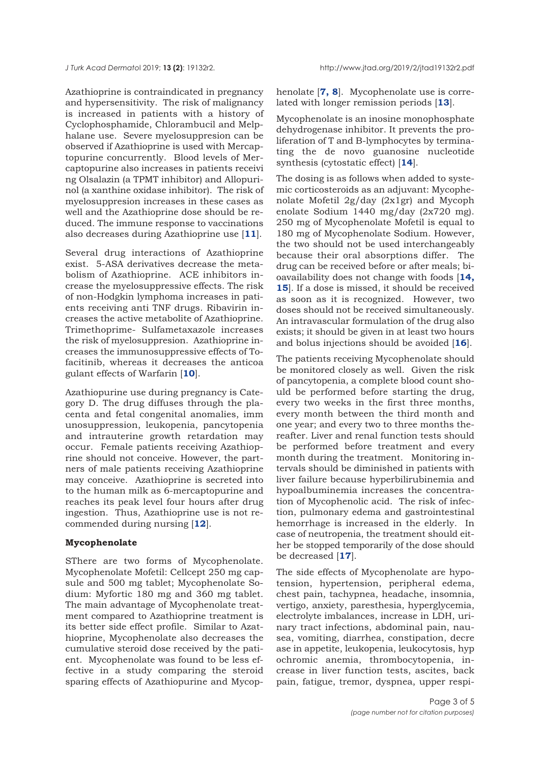*J Turk Acad Dermato*l 2019; **13 (2)**: 19132r2. http://www.jtad.org/2019/2/jtad19132r2.pdf

Azathioprine is contraindicated in pregnancy and hypersensitivity. The risk of malignancy is increased in patients with a history of Cyclophosphamide, Chlorambucil and Melphalane use. Severe myelosuppresion can be observed if Azathioprine is used with Mercaptopurine concurrently. Blood levels of Mercaptopurine also increases in patients receivi ng Olsalazin (a TPMT inhibitor) and Allopurinol (a xanthine oxidase inhibitor). The risk of myelosuppresion increases in these cases as well and the Azathioprine dose should be reduced. The immune response to vaccinations also decreases during Azathioprine use [**[11](#page-4-0)**].

Several drug interactions of Azathioprine exist. 5-ASA derivatives decrease the metabolism of Azathioprine. ACE inhibitors increase the myelosuppressive effects. The risk of non-Hodgkin lymphoma increases in patients receiving anti TNF drugs. Ribavirin increases the active metabolite of Azathioprine. Trimethoprime- Sulfametaxazole increases the risk of myelosuppresion. Azathioprine increases the immunosuppressive effects of Tofacitinib, whereas it decreases the anticoa gulant effects of Warfarin [**[10](#page-4-0)**].

Azathiopurine use during pregnancy is Category D. The drug diffuses through the placenta and fetal congenital anomalies, imm unosuppression, leukopenia, pancytopenia and intrauterine growth retardation may occur. Female patients receiving Azathioprine should not conceive. However, the partners of male patients receiving Azathioprine may conceive. Azathioprine is secreted into to the human milk as 6-mercaptopurine and reaches its peak level four hours after drug ingestion. Thus, Azathioprine use is not recommended during nursing [**[12](#page-4-0)**].

### **Mycophenolate**

SThere are two forms of Mycophenolate. Mycophenolate Mofetil: Cellcept 250 mg capsule and 500 mg tablet; Mycophenolate Sodium: Myfortic 180 mg and 360 mg tablet. The main advantage of Mycophenolate treatment compared to Azathioprine treatment is its better side effect profile. Similar to Azathioprine, Mycophenolate also decreases the cumulative steroid dose received by the patient. Mycophenolate was found to be less effective in a study comparing the steroid sparing effects of Azathiopurine and Mycop-

henolate [**[7, 8](#page-4-0)**]. Mycophenolate use is correlated with longer remission periods [**[13](#page-4-0)**].

Mycophenolate is an inosine monophosphate dehydrogenase inhibitor. It prevents the proliferation of T and B-lymphocytes by terminating the de novo guanosine nucleotide synthesis (cytostatic effect) [**[14](#page-4-0)**].

The dosing is as follows when added to systemic corticosteroids as an adjuvant: Mycophenolate Mofetil 2g/day (2x1gr) and Mycoph enolate Sodium 1440 mg/day (2x720 mg). 250 mg of Mycophenolate Mofetil is equal to 180 mg of Mycophenolate Sodium. However, the two should not be used interchangeably because their oral absorptions differ. The drug can be received before or after meals; bioavailability does not change with foods [**14, 15**[\]. If a dose is missed, it should be received](#page-4-0) as soon as it is recognized. However, two doses should not be received simultaneously. An intravascular formulation of the drug also exists; it should be given in at least two hours and bolus injections should be avoided [**[16](#page-4-0)**].

The patients receiving Mycophenolate should be monitored closely as well. Given the risk of pancytopenia, a complete blood count should be performed before starting the drug, every two weeks in the first three months, every month between the third month and one year; and every two to three months thereafter. Liver and renal function tests should be performed before treatment and every month during the treatment. Monitoring intervals should be diminished in patients with liver failure because hyperbilirubinemia and hypoalbuminemia increases the concentration of Mycophenolic acid. The risk of infection, pulmonary edema and gastrointestinal hemorrhage is increased in the elderly. In case of neutropenia, the treatment should either be stopped temporarily of the dose should be decreased [**[17](#page-4-0)**].

The side effects of Mycophenolate are hypotension, hypertension, peripheral edema, chest pain, tachypnea, headache, insomnia, vertigo, anxiety, paresthesia, hyperglycemia, electrolyte imbalances, increase in LDH, urinary tract infections, abdominal pain, nausea, vomiting, diarrhea, constipation, decre ase in appetite, leukopenia, leukocytosis, hyp ochromic anemia, thrombocytopenia, increase in liver function tests, ascites, back pain, fatigue, tremor, dyspnea, upper respi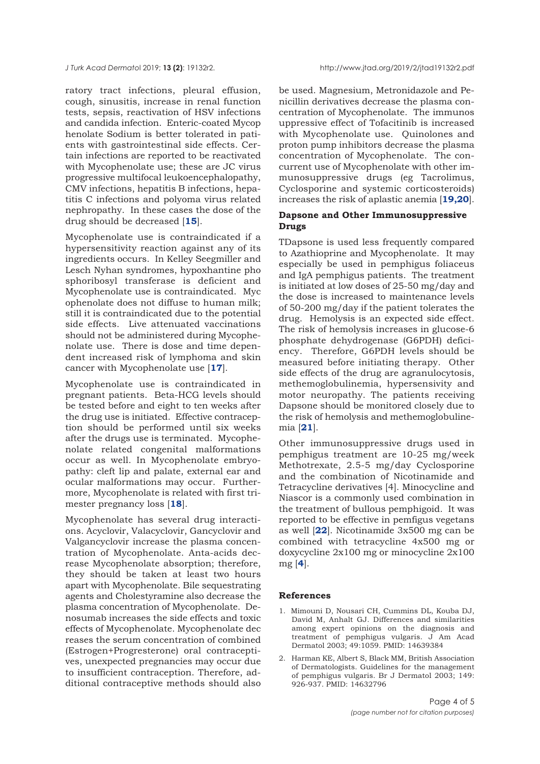<span id="page-3-0"></span>ratory tract infections, pleural effusion, cough, sinusitis, increase in renal function tests, sepsis, reactivation of HSV infections and candida infection. Enteric-coated Mycop henolate Sodium is better tolerated in patients with gastrointestinal side effects. Certain infections are reported to be reactivated with Mycophenolate use; these are JC virus progressive multifocal leukoencephalopathy, CMV infections, hepatitis B infections, hepatitis C infections and polyoma virus related nephropathy. In these cases the dose of the drug should be decreased [**[15](#page-4-0)**].

Mycophenolate use is contraindicated if a hypersensitivity reaction against any of its ingredients occurs. In Kelley Seegmiller and Lesch Nyhan syndromes, hypoxhantine pho sphoribosyl transferase is deficient and Mycophenolate use is contraindicated. Myc ophenolate does not diffuse to human milk; still it is contraindicated due to the potential side effects. Live attenuated vaccinations should not be administered during Mycophenolate use. There is dose and time dependent increased risk of lymphoma and skin cancer with Mycophenolate use [**[17](#page-4-0)**].

Mycophenolate use is contraindicated in pregnant patients. Beta-HCG levels should be tested before and eight to ten weeks after the drug use is initiated. Effective contraception should be performed until six weeks after the drugs use is terminated. Mycophenolate related congenital malformations occur as well. In Mycophenolate embryopathy: cleft lip and palate, external ear and ocular malformations may occur. Furthermore, Mycophenolate is related with first trimester pregnancy loss [**[18](#page-4-0)**].

Mycophenolate has several drug interactions. Acyclovir, Valacyclovir, Gancyclovir and Valgancyclovir increase the plasma concentration of Mycophenolate. Anta-acids decrease Mycophenolate absorption; therefore, they should be taken at least two hours apart with Mycophenolate. Bile sequestrating agents and Cholestyramine also decrease the plasma concentration of Mycophenolate. Denosumab increases the side effects and toxic effects of Mycophenolate. Mycophenolate dec reases the serum concentration of combined (Estrogen+Progresterone) oral contraceptives, unexpected pregnancies may occur due to insufficient contraception. Therefore, additional contraceptive methods should also

be used. Magnesium, Metronidazole and Penicillin derivatives decrease the plasma concentration of Mycophenolate. The immunos uppressive effect of Tofacitinib is increased with Mycophenolate use. Quinolones and proton pump inhibitors decrease the plasma concentration of Mycophenolate. The concurrent use of Mycophenolate with other immunosuppressive drugs (eg Tacrolimus, Cyclosporine and systemic corticosteroids) increases the risk of aplastic anemia [**[19,20](#page-4-0)**].

## **Dapsone and Other Immunosuppressive Drugs**

TDapsone is used less frequently compared to Azathioprine and Mycophenolate. It may especially be used in pemphigus foliaceus and IgA pemphigus patients. The treatment is initiated at low doses of 25-50 mg/day and the dose is increased to maintenance levels of 50-200 mg/day if the patient tolerates the drug. Hemolysis is an expected side effect. The risk of hemolysis increases in glucose-6 phosphate dehydrogenase (G6PDH) deficiency. Therefore, G6PDH levels should be measured before initiating therapy. Other side effects of the drug are agranulocytosis, methemoglobulinemia, hypersensivity and motor neuropathy. The patients receiving Dapsone should be monitored closely due to the risk of hemolysis and methemoglobulinemia [**[21](#page-4-0)**].

Other immunosuppressive drugs used in pemphigus treatment are 10-25 mg/week Methotrexate, 2.5-5 mg/day Cyclosporine and the combination of Nicotinamide and Tetracycline derivatives [4]. Minocycline and Niascor is a commonly used combination in the treatment of bullous pemphigoid. It was reported to be effective in pemfigus vegetans as well [**[22](#page-4-0)**]. Nicotinamide 3x500 mg can be combined with tetracycline 4x500 mg or doxycycline 2x100 mg or minocycline 2x100 mg [**[4](#page-4-0)**].

#### **References**

- 1. Mimouni D, Nousari CH, Cummins DL, Kouba DJ, David M, Anhalt GJ. Differences and similarities among expert opinions on the diagnosis and treatment of pemphigus vulgaris. J Am Acad Dermatol 2003; 49:1059. PMID: 14639384
- 2. Harman KE, Albert S, Black MM, British Association of Dermatologists. Guidelines for the management of pemphigus vulgaris. Br J Dermatol 2003; 149: 926-937. PMID: 14632796